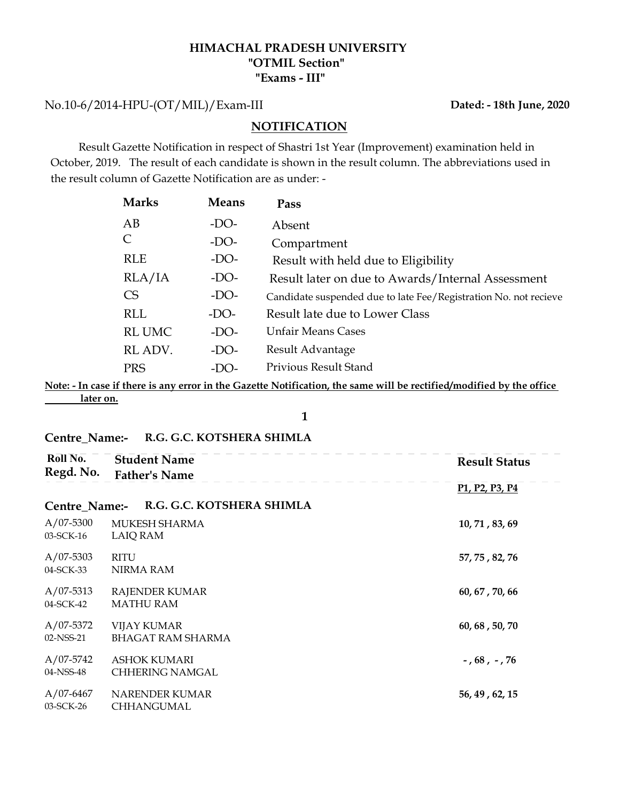#### HIMACHAL PRADESH UNIVERSITY "Exams - III" "OTMIL Section"

No.10-6/2014-HPU-(OT/MIL)/Exam-III

 Result Gazette Notification in respect of Shastri 1st Year (Improvement) examination held in October, 2019. The result of each candidate is shown in the result column. The abbreviations used in the result column of Gazette Notification are as under: -

|                                             |              | HIMACHAL PRADESH UNIVERSITY<br>"OTMIL Section"<br>"Exams - III"                                                                                                                  |                          |
|---------------------------------------------|--------------|----------------------------------------------------------------------------------------------------------------------------------------------------------------------------------|--------------------------|
| -HPU-(OT/MIL)/Exam-III                      |              |                                                                                                                                                                                  | Dated: - 18th June, 2020 |
|                                             |              | <b>NOTIFICATION</b>                                                                                                                                                              |                          |
| umn of Gazette Notification are as under: - |              | Gazette Notification in respect of Shastri 1st Year (Improvement) examination held in<br>. The result of each candidate is shown in the result column. The abbreviations used in |                          |
| <b>Marks</b>                                | <b>Means</b> | Pass                                                                                                                                                                             |                          |
| AB                                          | $-DO-$       | Absent                                                                                                                                                                           |                          |
|                                             | $-DO-$       |                                                                                                                                                                                  |                          |
| $\mathsf{C}$                                |              | Compartment                                                                                                                                                                      |                          |
| <b>RLE</b>                                  | $-DO-$       | Result with held due to Eligibility                                                                                                                                              |                          |
| RLA/IA                                      | $-DO-$       | Result later on due to Awards/Internal Assessment                                                                                                                                |                          |
| <b>CS</b>                                   | $-DO-$       | Candidate suspended due to late Fee/Registration No. not recieve                                                                                                                 |                          |
| <b>RLL</b>                                  | $-DO-$       | Result late due to Lower Class                                                                                                                                                   |                          |
| <b>RL UMC</b>                               | $-DO-$       | <b>Unfair Means Cases</b>                                                                                                                                                        |                          |
| RL ADV.                                     | $-DO-$       | Result Advantage                                                                                                                                                                 |                          |
| <b>PRS</b>                                  | $-DO-$       | Privious Result Stand                                                                                                                                                            |                          |

Note: - In case if there is any error in the Gazette Notification, the same will be rectified/modified by the office later on.

#### Centre\_Name:- R.G. G.C. KOTSHERA SHIMLA

| Roll No.<br>Regd. No.    | <b>Student Name</b><br><b>Father's Name</b>    | <b>Result Status</b>                                              |
|--------------------------|------------------------------------------------|-------------------------------------------------------------------|
|                          |                                                | P <sub>1</sub> , P <sub>2</sub> , P <sub>3</sub> , P <sub>4</sub> |
| Centre_Name:-            | R.G. G.C. KOTSHERA SHIMLA                      |                                                                   |
| $A/07-5300$<br>03-SCK-16 | <b>MUKESH SHARMA</b><br><b>LAIQ RAM</b>        | 10, 71, 83, 69                                                    |
| $A/07-5303$<br>04-SCK-33 | <b>RITU</b><br>NIRMA RAM                       | 57, 75, 82, 76                                                    |
| $A/07-5313$<br>04-SCK-42 | <b>RAJENDER KUMAR</b><br><b>MATHU RAM</b>      | 60, 67, 70, 66                                                    |
| $A/07-5372$<br>02-NSS-21 | <b>VIJAY KUMAR</b><br><b>BHAGAT RAM SHARMA</b> | 60, 68, 50, 70                                                    |
| A/07-5742<br>04-NSS-48   | <b>ASHOK KUMARI</b><br>CHHERING NAMGAL         | $-$ , 68, $-$ , 76                                                |
| $A/07-6467$<br>03-SCK-26 | <b>NARENDER KUMAR</b><br>CHHANGUMAL            | 56, 49, 62, 15                                                    |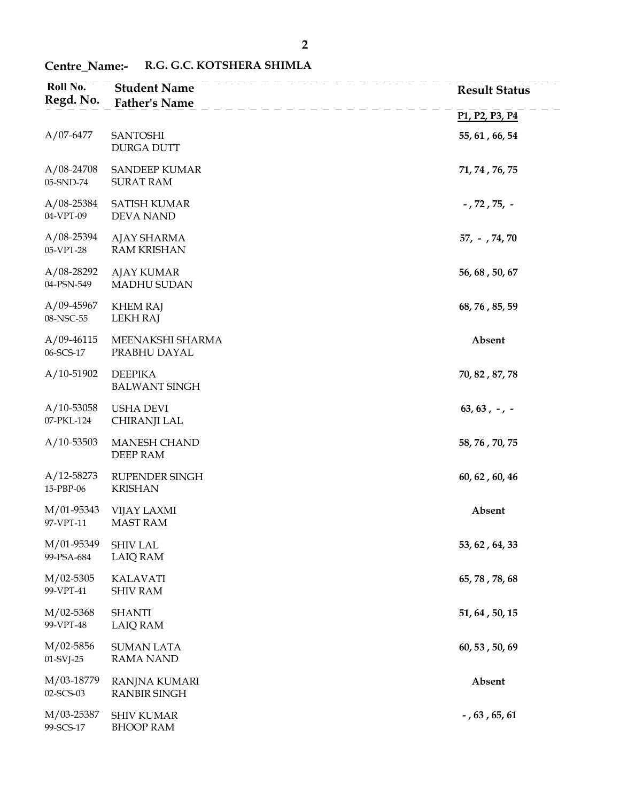| Roll No.<br>Regd. No.       | <b>Student Name</b><br><b>Father's Name</b> | <b>Result Status</b>                                              |
|-----------------------------|---------------------------------------------|-------------------------------------------------------------------|
|                             |                                             | P <sub>1</sub> , P <sub>2</sub> , P <sub>3</sub> , P <sub>4</sub> |
| $A/07-6477$                 | <b>SANTOSHI</b><br><b>DURGA DUTT</b>        | 55, 61, 66, 54                                                    |
| $A/08-24708$<br>05-SND-74   | <b>SANDEEP KUMAR</b><br><b>SURAT RAM</b>    | 71, 74, 76, 75                                                    |
| $A/08 - 25384$<br>04-VPT-09 | <b>SATISH KUMAR</b><br><b>DEVA NAND</b>     | $-$ , 72 , 75, $-$                                                |
| $A/08 - 25394$<br>05-VPT-28 | <b>AJAY SHARMA</b><br><b>RAM KRISHAN</b>    | $57, -74, 70$                                                     |
| $A/08-28292$<br>04-PSN-549  | <b>AJAY KUMAR</b><br>MADHU SUDAN            | 56, 68, 50, 67                                                    |
| $A/09-45967$<br>08-NSC-55   | <b>KHEM RAJ</b><br><b>LEKH RAJ</b>          | 68, 76, 85, 59                                                    |
| $A/09-46115$<br>06-SCS-17   | MEENAKSHI SHARMA<br>PRABHU DAYAL            | Absent                                                            |
| $A/10-51902$                | <b>DEEPIKA</b><br><b>BALWANT SINGH</b>      | 70, 82, 87, 78                                                    |
| $A/10-53058$<br>07-PKL-124  | <b>USHA DEVI</b><br>CHIRANJI LAL            | $63, 63, -7$                                                      |
| $A/10 - 53503$              | <b>MANESH CHAND</b><br>DEEP RAM             | 58, 76, 70, 75                                                    |
| $A/12 - 58273$<br>15-PBP-06 | RUPENDER SINGH<br><b>KRISHAN</b>            | 60, 62, 60, 46                                                    |
| M/01-95343<br>97-VPT-11     | <b>VIJAY LAXMI</b><br><b>MAST RAM</b>       | Absent                                                            |
| M/01-95349<br>99-PSA-684    | <b>SHIV LAL</b><br><b>LAIQ RAM</b>          | 53, 62, 64, 33                                                    |
| $M/02-5305$<br>99-VPT-41    | <b>KALAVATI</b><br><b>SHIV RAM</b>          | 65, 78, 78, 68                                                    |
| $M/02-5368$<br>99-VPT-48    | <b>SHANTI</b><br><b>LAIQ RAM</b>            | 51, 64, 50, 15                                                    |
| $M/02 - 5856$<br>01-SVJ-25  | <b>SUMAN LATA</b><br><b>RAMA NAND</b>       | 60, 53, 50, 69                                                    |
| M/03-18779<br>02-SCS-03     | RANJNA KUMARI<br><b>RANBIR SINGH</b>        | Absent                                                            |
| M/03-25387<br>99-SCS-17     | <b>SHIV KUMAR</b><br><b>BHOOP RAM</b>       | $-$ , 63, 65, 61                                                  |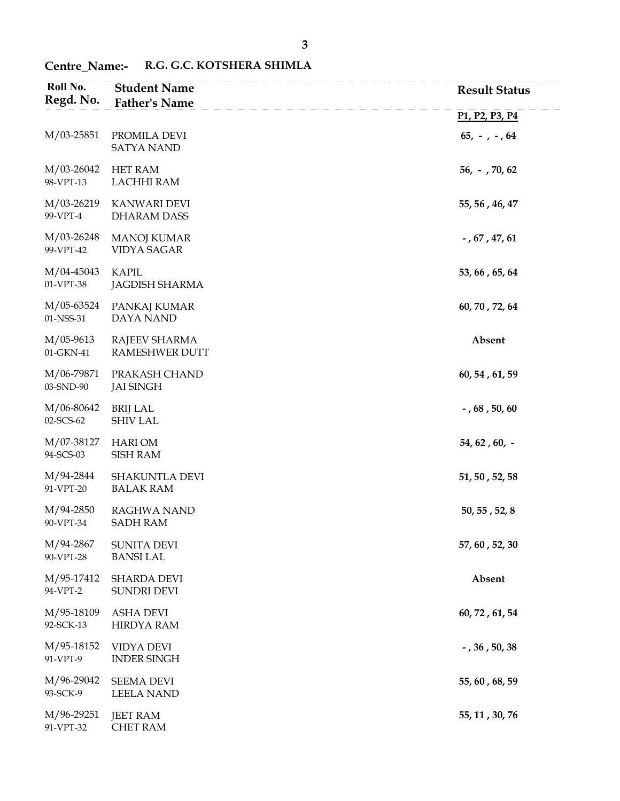| Roll No.<br>Regd. No.    | <b>Student Name</b><br><b>Father's Name</b> | <b>Result Status</b>                                              |
|--------------------------|---------------------------------------------|-------------------------------------------------------------------|
|                          |                                             | P <sub>1</sub> , P <sub>2</sub> , P <sub>3</sub> , P <sub>4</sub> |
| M/03-25851               | PROMILA DEVI<br><b>SATYA NAND</b>           | $65, -7, -64$                                                     |
| M/03-26042<br>98-VPT-13  | <b>HET RAM</b><br><b>LACHHI RAM</b>         | $56, -70, 62$                                                     |
| M/03-26219<br>99-VPT-4   | <b>KANWARI DEVI</b><br><b>DHARAM DASS</b>   | 55, 56, 46, 47                                                    |
| M/03-26248<br>99-VPT-42  | <b>MANOJ KUMAR</b><br><b>VIDYA SAGAR</b>    | $-$ , 67 , 47, 61                                                 |
| M/04-45043<br>01-VPT-38  | <b>KAPIL</b><br><b>JAGDISH SHARMA</b>       | 53, 66, 65, 64                                                    |
| M/05-63524<br>01-NSS-31  | PANKAJ KUMAR<br>DAYA NAND                   | 60, 70, 72, 64                                                    |
| $M/05-9613$<br>01-GKN-41 | RAJEEV SHARMA<br><b>RAMESHWER DUTT</b>      | Absent                                                            |
| M/06-79871<br>03-SND-90  | PRAKASH CHAND<br><b>JAI SINGH</b>           | 60, 54, 61, 59                                                    |
| M/06-80642<br>02-SCS-62  | <b>BRIJ LAL</b><br><b>SHIV LAL</b>          | $-$ , 68, 50, 60                                                  |
| M/07-38127<br>94-SCS-03  | <b>HARI OM</b><br><b>SISH RAM</b>           | $54, 62, 60, -$                                                   |
| M/94-2844<br>91-VPT-20   | <b>SHAKUNTLA DEVI</b><br><b>BALAK RAM</b>   | 51, 50, 52, 58                                                    |
| M/94-2850<br>90-VPT-34   | RAGHWA NAND<br><b>SADH RAM</b>              | 50, 55, 52, 8                                                     |
| M/94-2867<br>90-VPT-28   | <b>SUNITA DEVI</b><br><b>BANSI LAL</b>      | 57, 60, 52, 30                                                    |
| M/95-17412<br>94-VPT-2   | <b>SHARDA DEVI</b><br>SUNDRI DEVI           | Absent                                                            |
| M/95-18109<br>92-SCK-13  | <b>ASHA DEVI</b><br><b>HIRDYA RAM</b>       | 60, 72, 61, 54                                                    |
| M/95-18152<br>91-VPT-9   | VIDYA DEVI<br><b>INDER SINGH</b>            | $-$ , 36 , 50, 38                                                 |
| M/96-29042<br>93-SCK-9   | <b>SEEMA DEVI</b><br><b>LEELA NAND</b>      | 55, 60, 68, 59                                                    |
| M/96-29251<br>91-VPT-32  | <b>JEET RAM</b><br><b>CHET RAM</b>          | 55, 11, 30, 76                                                    |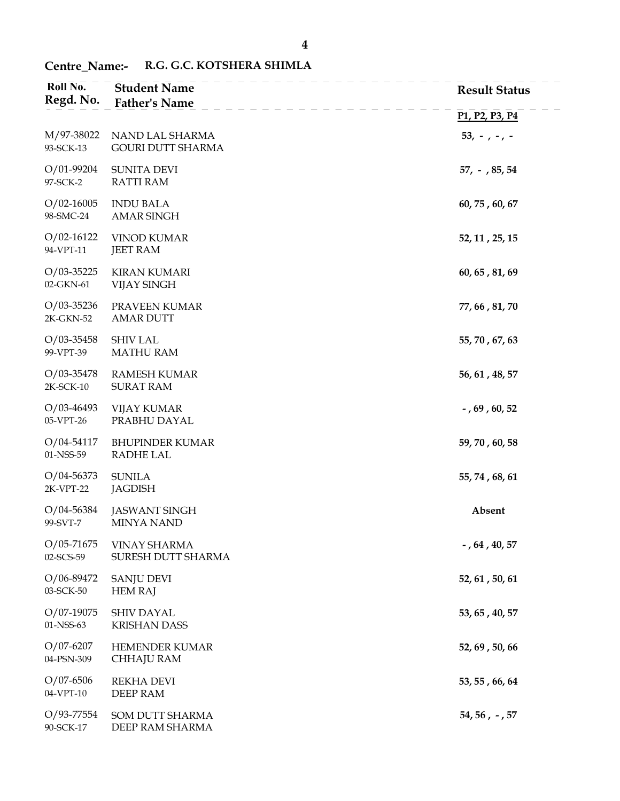| Roll No.<br>Regd. No.       | <b>Student Name</b><br><b>Father's Name</b> | <b>Result Status</b>                                              |
|-----------------------------|---------------------------------------------|-------------------------------------------------------------------|
|                             |                                             | P <sub>1</sub> , P <sub>2</sub> , P <sub>3</sub> , P <sub>4</sub> |
| M/97-38022<br>93-SCK-13     | NAND LAL SHARMA<br><b>GOURI DUTT SHARMA</b> | $53, -7 - 7 -$                                                    |
| $O/01-99204$<br>97-SCK-2    | <b>SUNITA DEVI</b><br><b>RATTI RAM</b>      | $57, -$ , 85, 54                                                  |
| $O/02 - 16005$<br>98-SMC-24 | <b>INDU BALA</b><br><b>AMAR SINGH</b>       | 60, 75, 60, 67                                                    |
| $O/02 - 16122$<br>94-VPT-11 | <b>VINOD KUMAR</b><br><b>JEET RAM</b>       | 52, 11, 25, 15                                                    |
| $O/03 - 35225$<br>02-GKN-61 | <b>KIRAN KUMARI</b><br><b>VIJAY SINGH</b>   | 60, 65, 81, 69                                                    |
| $O/03 - 35236$<br>2K-GKN-52 | PRAVEEN KUMAR<br><b>AMAR DUTT</b>           | 77, 66, 81, 70                                                    |
| $O/03 - 35458$<br>99-VPT-39 | <b>SHIV LAL</b><br><b>MATHU RAM</b>         | 55, 70, 67, 63                                                    |
| $O/03 - 35478$<br>2K-SCK-10 | <b>RAMESH KUMAR</b><br><b>SURAT RAM</b>     | 56, 61, 48, 57                                                    |
| $O/03-46493$<br>05-VPT-26   | <b>VIJAY KUMAR</b><br>PRABHU DAYAL          | $-$ , 69, 60, 52                                                  |
| $O/04 - 54117$<br>01-NSS-59 | <b>BHUPINDER KUMAR</b><br>RADHE LAL         | 59, 70, 60, 58                                                    |
| $O/04 - 56373$<br>2K-VPT-22 | <b>SUNILA</b><br><b>JAGDISH</b>             | 55, 74, 68, 61                                                    |
| $O/04 - 56384$<br>99-SVT-7  | <b>JASWANT SINGH</b><br><b>MINYA NAND</b>   | Absent                                                            |
| $O/05 - 71675$<br>02-SCS-59 | <b>VINAY SHARMA</b><br>SURESH DUTT SHARMA   | $-$ , 64 , 40, 57                                                 |
| $O/06 - 89472$<br>03-SCK-50 | <b>SANJU DEVI</b><br><b>HEM RAJ</b>         | 52, 61, 50, 61                                                    |
| $O/07-19075$<br>01-NSS-63   | <b>SHIV DAYAL</b><br><b>KRISHAN DASS</b>    | 53, 65, 40, 57                                                    |
| $O/07 - 6207$<br>04-PSN-309 | HEMENDER KUMAR<br>CHHAJU RAM                | 52, 69, 50, 66                                                    |
| $O/07 - 6506$<br>04-VPT-10  | <b>REKHA DEVI</b><br>DEEP RAM               | 53, 55, 66, 64                                                    |
| O/93-77554<br>90-SCK-17     | SOM DUTT SHARMA<br>DEEP RAM SHARMA          | $54, 56, -, 57$                                                   |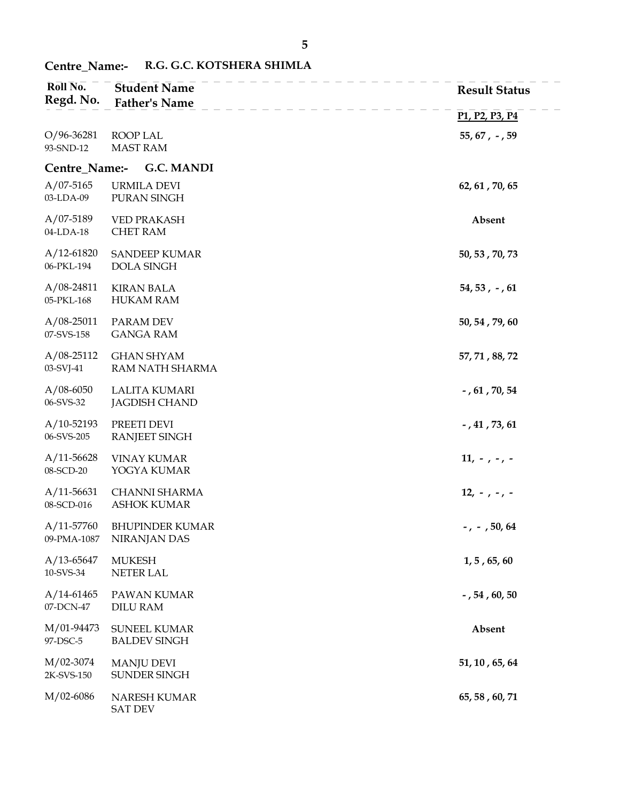| Roll No.<br>Regd. No.         | <b>Student Name</b><br><b>Father's Name</b>  | <b>Result Status</b>                                              |
|-------------------------------|----------------------------------------------|-------------------------------------------------------------------|
|                               |                                              | P <sub>1</sub> , P <sub>2</sub> , P <sub>3</sub> , P <sub>4</sub> |
| O/96-36281<br>93-SND-12       | ROOP LAL<br><b>MAST RAM</b>                  | $55, 67, -, 59$                                                   |
| Centre_Name:-                 | <b>G.C. MANDI</b>                            |                                                                   |
| $A/07 - 5165$<br>03-LDA-09    | <b>URMILA DEVI</b><br>PURAN SINGH            | 62, 61, 70, 65                                                    |
| $A/07-5189$<br>04-LDA-18      | <b>VED PRAKASH</b><br><b>CHET RAM</b>        | Absent                                                            |
| $A/12-61820$<br>06-PKL-194    | <b>SANDEEP KUMAR</b><br><b>DOLA SINGH</b>    | 50, 53, 70, 73                                                    |
| $A/08-24811$<br>05-PKL-168    | <b>KIRAN BALA</b><br><b>HUKAM RAM</b>        | $54, 53, -, 61$                                                   |
| $A/08-25011$<br>07-SVS-158    | PARAM DEV<br><b>GANGA RAM</b>                | 50, 54, 79, 60                                                    |
| $A/08-25112$<br>03-SVJ-41     | <b>GHAN SHYAM</b><br>RAM NATH SHARMA         | 57, 71, 88, 72                                                    |
| $A/08 - 6050$<br>06-SVS-32    | <b>LALITA KUMARI</b><br><b>JAGDISH CHAND</b> | $-$ , 61, 70, 54                                                  |
| $A/10-52193$<br>06-SVS-205    | PREETI DEVI<br>RANJEET SINGH                 | $-$ , 41, 73, 61                                                  |
| $A/11 - 56628$<br>08-SCD-20   | <b>VINAY KUMAR</b><br>YOGYA KUMAR            | $11, -7 - 7 - 7$                                                  |
| $A/11 - 56631$<br>08-SCD-016  | CHANNI SHARMA<br><b>ASHOK KUMAR</b>          | $12, -7 - 7 - 7$                                                  |
| $A/11 - 57760$<br>09-PMA-1087 | <b>BHUPINDER KUMAR</b><br>NIRANJAN DAS       | $-$ , $-$ , 50, 64                                                |
| $A/13-65647$<br>10-SVS-34     | <b>MUKESH</b><br><b>NETER LAL</b>            | $1, 5$ , 65, 60                                                   |
| $A/14-61465$<br>07-DCN-47     | PAWAN KUMAR<br><b>DILU RAM</b>               | $-$ , 54, 60, 50                                                  |
| M/01-94473<br>97-DSC-5        | <b>SUNEEL KUMAR</b><br><b>BALDEV SINGH</b>   | Absent                                                            |
| M/02-3074<br>2K-SVS-150       | <b>MANJU DEVI</b><br>SUNDER SINGH            | 51, 10, 65, 64                                                    |
| M/02-6086                     | NARESH KUMAR<br><b>SAT DEV</b>               | 65, 58, 60, 71                                                    |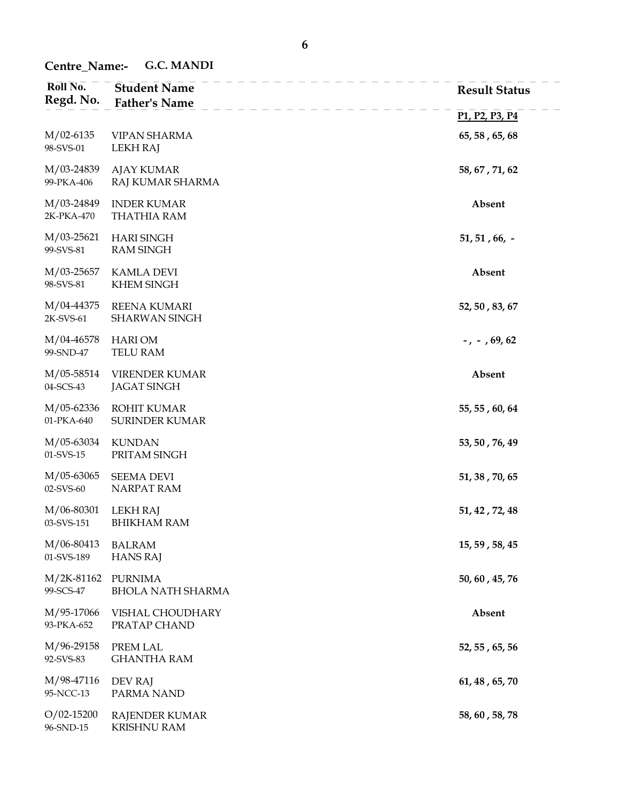Centre\_Name:- G.C. MANDI

| Roll No.                        | <b>Student Name</b>                         | <b>Result Status</b>                                              |
|---------------------------------|---------------------------------------------|-------------------------------------------------------------------|
| Regd. No.                       | <b>Father's Name</b>                        | P <sub>1</sub> , P <sub>2</sub> , P <sub>3</sub> , P <sub>4</sub> |
| $M/02-6135$                     | <b>VIPAN SHARMA</b>                         | 65, 58, 65, 68                                                    |
| 98-SVS-01                       | <b>LEKH RAJ</b>                             |                                                                   |
| M/03-24839<br>99-PKA-406        | <b>AJAY KUMAR</b><br>RAJ KUMAR SHARMA       | 58, 67, 71, 62                                                    |
| M/03-24849<br>2K-PKA-470        | <b>INDER KUMAR</b><br><b>THATHIA RAM</b>    | Absent                                                            |
| $M/03-25621$<br>99-SVS-81       | <b>HARI SINGH</b><br><b>RAM SINGH</b>       | $51, 51, 66, -$                                                   |
| M/03-25657<br>98-SVS-81         | <b>KAMLA DEVI</b><br><b>KHEM SINGH</b>      | Absent                                                            |
| M/04-44375<br>2K-SVS-61         | <b>REENA KUMARI</b><br>SHARWAN SINGH        | 52, 50, 83, 67                                                    |
| M/04-46578<br>99-SND-47         | <b>HARI OM</b><br>TELU RAM                  | $-$ , $-$ , 69, 62                                                |
| M/05-58514<br>04-SCS-43         | <b>VIRENDER KUMAR</b><br><b>JAGAT SINGH</b> | Absent                                                            |
| M/05-62336<br>01-PKA-640        | <b>ROHIT KUMAR</b><br><b>SURINDER KUMAR</b> | 55, 55, 60, 64                                                    |
| M/05-63034<br>$01$ -SVS-15      | <b>KUNDAN</b><br>PRITAM SINGH               | 53, 50, 76, 49                                                    |
| M/05-63065<br>02-SVS-60         | <b>SEEMA DEVI</b><br>NARPAT RAM             | 51, 38, 70, 65                                                    |
| M/06-80301<br>03-SVS-151        | <b>LEKH RAJ</b><br><b>BHIKHAM RAM</b>       | 51, 42, 72, 48                                                    |
| M/06-80413<br>01-SVS-189        | <b>BALRAM</b><br><b>HANS RAJ</b>            | 15, 59, 58, 45                                                    |
| M/2K-81162 PURNIMA<br>99-SCS-47 | <b>BHOLA NATH SHARMA</b>                    | 50, 60, 45, 76                                                    |
| M/95-17066<br>93-PKA-652        | VISHAL CHOUDHARY<br>PRATAP CHAND            | Absent                                                            |
| M/96-29158<br>92-SVS-83         | PREM LAL<br><b>GHANTHA RAM</b>              | 52, 55, 65, 56                                                    |
| M/98-47116<br>95-NCC-13         | DEV RAJ<br>PARMA NAND                       | 61, 48, 65, 70                                                    |
| $O/02 - 15200$<br>96-SND-15     | <b>RAJENDER KUMAR</b><br><b>KRISHNU RAM</b> | 58, 60, 58, 78                                                    |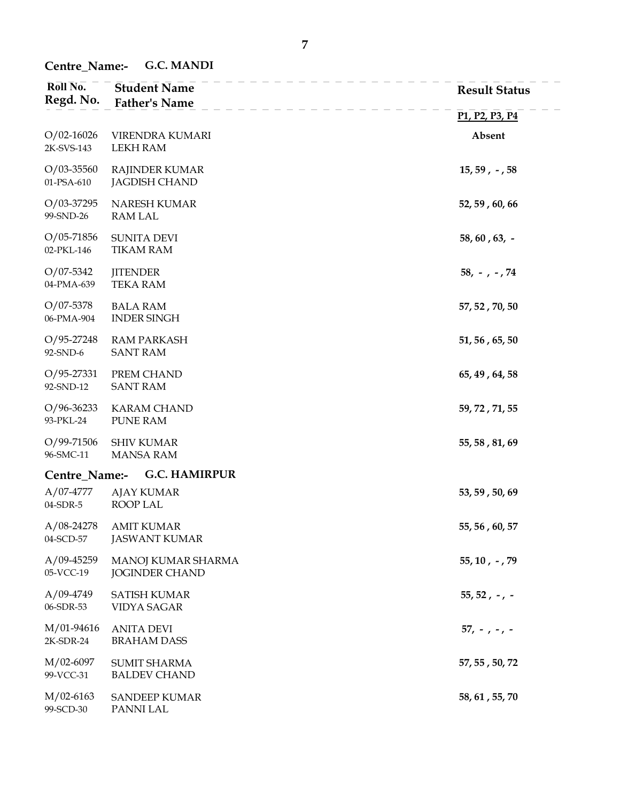Centre\_Name:- G.C. MANDI

| Roll No.<br>Regd. No.        | <b>Student Name</b><br><b>Father's Name</b>   | <b>Result Status</b>                                              |
|------------------------------|-----------------------------------------------|-------------------------------------------------------------------|
|                              |                                               | P <sub>1</sub> , P <sub>2</sub> , P <sub>3</sub> , P <sub>4</sub> |
| $O/02-16026$<br>2K-SVS-143   | VIRENDRA KUMARI<br><b>LEKH RAM</b>            | Absent                                                            |
| $O/03 - 35560$<br>01-PSA-610 | <b>RAJINDER KUMAR</b><br><b>JAGDISH CHAND</b> | $15, 59, -, 58$                                                   |
| $O/03-37295$<br>99-SND-26    | NARESH KUMAR<br>RAM LAL                       | 52, 59, 60, 66                                                    |
| $O/05 - 71856$<br>02-PKL-146 | <b>SUNITA DEVI</b><br><b>TIKAM RAM</b>        | $58, 60, 63, -$                                                   |
| $O/07 - 5342$<br>04-PMA-639  | <b>JITENDER</b><br><b>TEKA RAM</b>            | $58, -7 - 74$                                                     |
| $O/07 - 5378$<br>06-PMA-904  | <b>BALA RAM</b><br><b>INDER SINGH</b>         | 57, 52, 70, 50                                                    |
| $O/95 - 27248$<br>92-SND-6   | <b>RAM PARKASH</b><br><b>SANT RAM</b>         | 51, 56, 65, 50                                                    |
| $O/95 - 27331$<br>92-SND-12  | PREM CHAND<br><b>SANT RAM</b>                 | 65, 49, 64, 58                                                    |
| $O/96 - 36233$<br>93-PKL-24  | <b>KARAM CHAND</b><br>PUNE RAM                | 59, 72, 71, 55                                                    |
| $O/99 - 71506$<br>96-SMC-11  | <b>SHIV KUMAR</b><br><b>MANSA RAM</b>         | 55, 58, 81, 69                                                    |
| Centre_Name:-                | <b>G.C. HAMIRPUR</b>                          |                                                                   |
| $A/07-4777$<br>04-SDR-5      | <b>AJAY KUMAR</b><br>ROOP LAL                 | 53, 59, 50, 69                                                    |
| $A/08 - 24278$<br>04-SCD-57  | <b>AMIT KUMAR</b><br><b>JASWANT KUMAR</b>     | 55, 56, 60, 57                                                    |
| $A/09-45259$<br>05-VCC-19    | MANOJ KUMAR SHARMA<br><b>JOGINDER CHAND</b>   | $55, 10, -79$                                                     |
| $A/09-4749$<br>06-SDR-53     | <b>SATISH KUMAR</b><br><b>VIDYA SAGAR</b>     | $55, 52, -7$                                                      |
| M/01-94616<br>2K-SDR-24      | <b>ANITA DEVI</b><br><b>BRAHAM DASS</b>       | $57, -7 - 7 -$                                                    |
| M/02-6097<br>99-VCC-31       | <b>SUMIT SHARMA</b><br><b>BALDEV CHAND</b>    | 57, 55, 50, 72                                                    |
| $M/02-6163$<br>99-SCD-30     | <b>SANDEEP KUMAR</b><br>PANNI LAL             | 58, 61, 55, 70                                                    |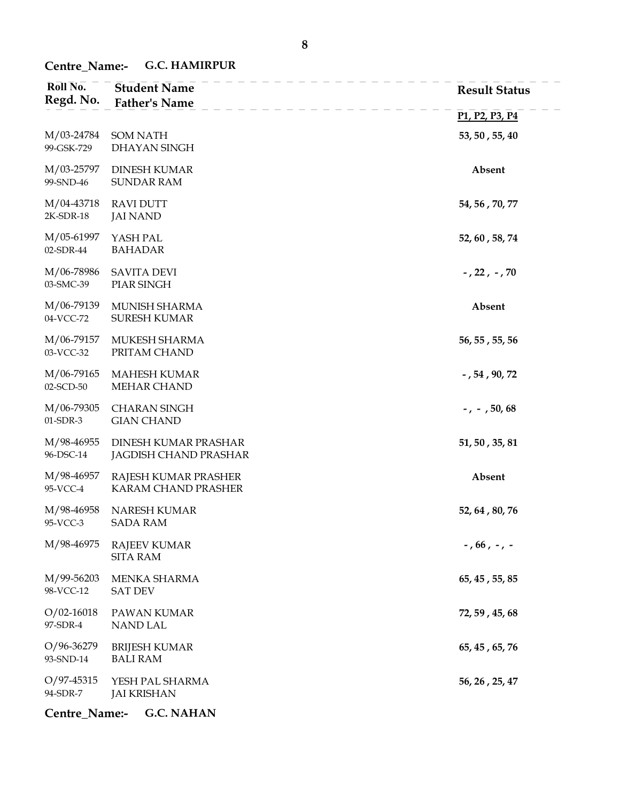# Centre\_Name:- G.C. HAMIRPUR

| Roll No.<br>Regd. No.       | <b>Student Name</b><br><b>Father's Name</b>   | <b>Result Status</b>                                              |
|-----------------------------|-----------------------------------------------|-------------------------------------------------------------------|
|                             |                                               | P <sub>1</sub> , P <sub>2</sub> , P <sub>3</sub> , P <sub>4</sub> |
| M/03-24784<br>99-GSK-729    | <b>SOM NATH</b><br>DHAYAN SINGH               | 53, 50, 55, 40                                                    |
| M/03-25797<br>99-SND-46     | <b>DINESH KUMAR</b><br><b>SUNDAR RAM</b>      | Absent                                                            |
| M/04-43718<br>$2K-SDR-18$   | <b>RAVI DUTT</b><br><b>JAI NAND</b>           | 54, 56, 70, 77                                                    |
| M/05-61997<br>02-SDR-44     | YASH PAL<br><b>BAHADAR</b>                    | 52, 60, 58, 74                                                    |
| M/06-78986<br>03-SMC-39     | <b>SAVITA DEVI</b><br>PIAR SINGH              | $-7227 - 70$                                                      |
| M/06-79139<br>04-VCC-72     | MUNISH SHARMA<br><b>SURESH KUMAR</b>          | Absent                                                            |
| M/06-79157<br>03-VCC-32     | MUKESH SHARMA<br>PRITAM CHAND                 | 56, 55, 55, 56                                                    |
| M/06-79165<br>02-SCD-50     | <b>MAHESH KUMAR</b><br><b>MEHAR CHAND</b>     | $-$ , 54, 90, 72                                                  |
| M/06-79305<br>01-SDR-3      | <b>CHARAN SINGH</b><br><b>GIAN CHAND</b>      | $-$ , $-$ , 50, 68                                                |
| M/98-46955<br>96-DSC-14     | DINESH KUMAR PRASHAR<br>JAGDISH CHAND PRASHAR | 51, 50, 35, 81                                                    |
| M/98-46957<br>95-VCC-4      | RAJESH KUMAR PRASHER<br>KARAM CHAND PRASHER   | Absent                                                            |
| M/98-46958<br>95-VCC-3      | NARESH KUMAR<br><b>SADA RAM</b>               | 52, 64, 80, 76                                                    |
| M/98-46975                  | <b>RAJEEV KUMAR</b><br><b>SITA RAM</b>        | $-$ , 66 , $-$ , $-$                                              |
| M/99-56203<br>98-VCC-12     | MENKA SHARMA<br><b>SAT DEV</b>                | 65, 45, 55, 85                                                    |
| $O/02 - 16018$<br>97-SDR-4  | PAWAN KUMAR<br>NAND LAL                       | 72, 59, 45, 68                                                    |
| $O/96 - 36279$<br>93-SND-14 | <b>BRIJESH KUMAR</b><br><b>BALI RAM</b>       | 65, 45, 65, 76                                                    |
| $O/97 - 45315$<br>94-SDR-7  | YESH PAL SHARMA<br><b>JAI KRISHAN</b>         | 56, 26, 25, 47                                                    |
| Centre_Name:-               | <b>G.C. NAHAN</b>                             |                                                                   |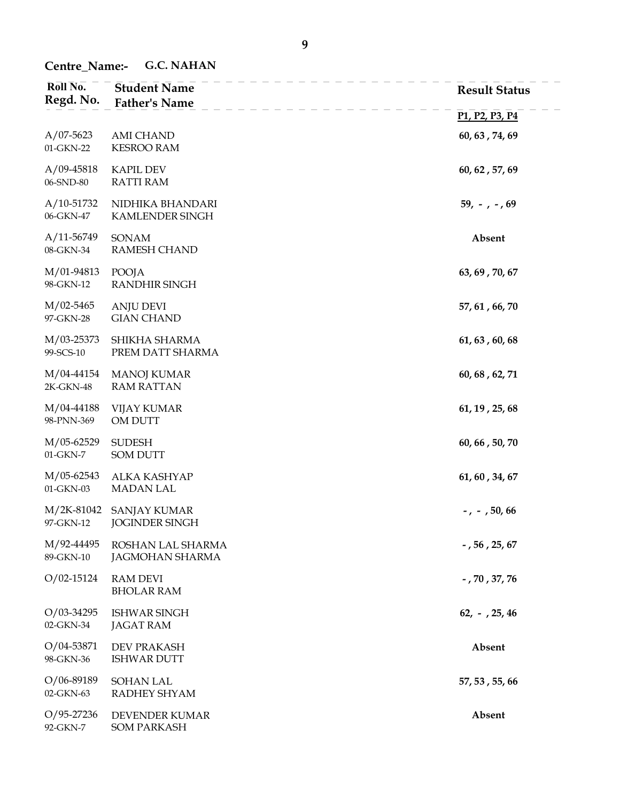Centre\_Name:- G.C. NAHAN

| Roll No.<br>Regd. No.       | <b>Student Name</b><br><b>Father's Name</b>  | <b>Result Status</b>                                              |
|-----------------------------|----------------------------------------------|-------------------------------------------------------------------|
|                             |                                              | P <sub>1</sub> , P <sub>2</sub> , P <sub>3</sub> , P <sub>4</sub> |
| $A/07-5623$<br>01-GKN-22    | <b>AMI CHAND</b><br><b>KESROO RAM</b>        | 60, 63, 74, 69                                                    |
| $A/09-45818$<br>06-SND-80   | <b>KAPIL DEV</b><br><b>RATTI RAM</b>         | 60, 62, 57, 69                                                    |
| $A/10-51732$<br>06-GKN-47   | NIDHIKA BHANDARI<br>KAMLENDER SINGH          | $59, -7.69$                                                       |
| $A/11 - 56749$<br>08-GKN-34 | SONAM<br>RAMESH CHAND                        | Absent                                                            |
| M/01-94813<br>98-GKN-12     | POOJA<br>RANDHIR SINGH                       | 63, 69, 70, 67                                                    |
| $M/02 - 5465$<br>97-GKN-28  | <b>ANJU DEVI</b><br><b>GIAN CHAND</b>        | 57, 61, 66, 70                                                    |
| M/03-25373<br>99-SCS-10     | SHIKHA SHARMA<br>PREM DATT SHARMA            | 61, 63, 60, 68                                                    |
| M/04-44154<br>2K-GKN-48     | <b>MANOJ KUMAR</b><br><b>RAM RATTAN</b>      | 60, 68, 62, 71                                                    |
| M/04-44188<br>98-PNN-369    | <b>VIJAY KUMAR</b><br>OM DUTT                | 61, 19, 25, 68                                                    |
| M/05-62529<br>01-GKN-7      | <b>SUDESH</b><br><b>SOM DUTT</b>             | 60, 66, 50, 70                                                    |
| M/05-62543<br>01-GKN-03     | ALKA KASHYAP<br><b>MADAN LAL</b>             | 61, 60, 34, 67                                                    |
| M/2K-81042<br>97-GKN-12     | <b>SANJAY KUMAR</b><br><b>JOGINDER SINGH</b> | $-$ , $-$ , 50, 66                                                |
| M/92-44495<br>89-GKN-10     | ROSHAN LAL SHARMA<br><b>JAGMOHAN SHARMA</b>  | $\sim$ , 56 , 25, 67                                              |
| $O/02 - 15124$              | <b>RAM DEVI</b><br><b>BHOLAR RAM</b>         | $-$ , 70 , 37, 76                                                 |
| $O/03 - 34295$<br>02-GKN-34 | <b>ISHWAR SINGH</b><br><b>JAGAT RAM</b>      | $62, -725, 46$                                                    |
| $O/04 - 53871$<br>98-GKN-36 | <b>DEV PRAKASH</b><br><b>ISHWAR DUTT</b>     | Absent                                                            |
| $O/06 - 89189$<br>02-GKN-63 | <b>SOHAN LAL</b><br>RADHEY SHYAM             | 57, 53, 55, 66                                                    |
| $O/95 - 27236$<br>92-GKN-7  | DEVENDER KUMAR<br><b>SOM PARKASH</b>         | Absent                                                            |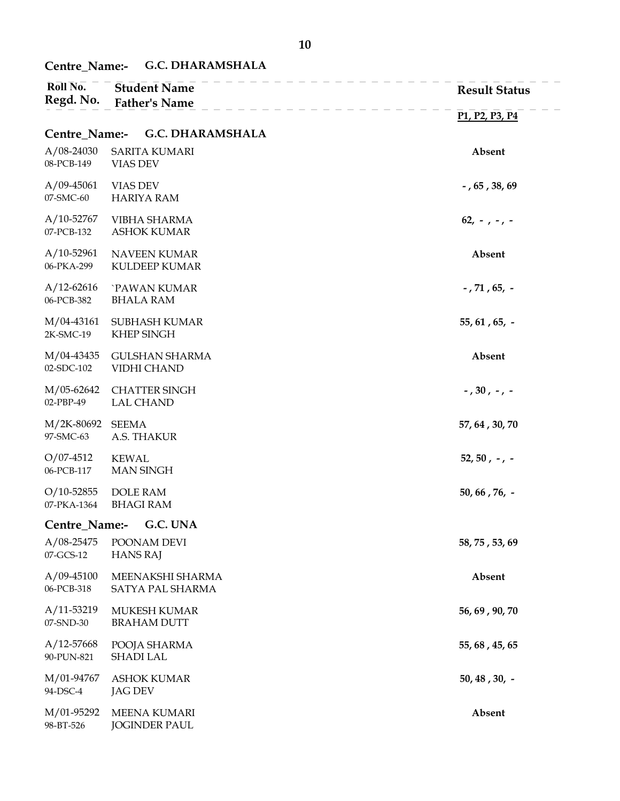## Centre\_Name:- G.C. DHARAMSHALA

| Roll No.<br>Regd. No.         | <b>Student Name</b><br><b>Father's Name</b> | <b>Result Status</b>                                              |
|-------------------------------|---------------------------------------------|-------------------------------------------------------------------|
|                               |                                             | P <sub>1</sub> , P <sub>2</sub> , P <sub>3</sub> , P <sub>4</sub> |
| Centre_Name:-                 | <b>G.C. DHARAMSHALA</b>                     |                                                                   |
| $A/08-24030$<br>08-PCB-149    | <b>SARITA KUMARI</b><br>VIAS DEV            | Absent                                                            |
| $A/09-45061$<br>07-SMC-60     | <b>VIAS DEV</b><br><b>HARIYA RAM</b>        | $-$ , 65, 38, 69                                                  |
| $A/10-52767$<br>07-PCB-132    | <b>VIBHA SHARMA</b><br><b>ASHOK KUMAR</b>   | $62, -7 - 7 -$                                                    |
| $A/10-52961$<br>06-PKA-299    | <b>NAVEEN KUMAR</b><br>KULDEEP KUMAR        | Absent                                                            |
| $A/12 - 62616$<br>06-PCB-382  | `PAWAN KUMAR<br><b>BHALA RAM</b>            | $-$ , 71 , 65, $-$                                                |
| M/04-43161<br>2K-SMC-19       | SUBHASH KUMAR<br><b>KHEP SINGH</b>          | $55, 61, 65, -$                                                   |
| M/04-43435<br>02-SDC-102      | <b>GULSHAN SHARMA</b><br>VIDHI CHAND        | Absent                                                            |
| M/05-62642<br>02-PBP-49       | <b>CHATTER SINGH</b><br><b>LAL CHAND</b>    | $-$ , 30 , $-$ , $-$                                              |
| M/2K-80692<br>97-SMC-63       | <b>SEEMA</b><br>A.S. THAKUR                 | 57, 64, 30, 70                                                    |
| $O/07 - 4512$<br>06-PCB-117   | <b>KEWAL</b><br><b>MAN SINGH</b>            | $52, 50, -7$                                                      |
| $O/10 - 52855$<br>07-PKA-1364 | <b>DOLE RAM</b><br><b>BHAGI RAM</b>         | $50, 66, 76, -$                                                   |
| Centre_Name:-                 | G.C. UNA                                    |                                                                   |
| $A/08 - 25475$<br>07-GCS-12   | POONAM DEVI<br><b>HANS RAJ</b>              | 58, 75, 53, 69                                                    |
| $A/09-45100$<br>06-PCB-318    | MEENAKSHI SHARMA<br>SATYA PAL SHARMA        | Absent                                                            |
| $A/11-53219$<br>07-SND-30     | MUKESH KUMAR<br><b>BRAHAM DUTT</b>          | 56, 69, 90, 70                                                    |
| $A/12 - 57668$<br>90-PUN-821  | POOJA SHARMA<br><b>SHADI LAL</b>            | 55, 68, 45, 65                                                    |
| M/01-94767<br>94-DSC-4        | <b>ASHOK KUMAR</b><br><b>JAG DEV</b>        | $50, 48, 30, -$                                                   |
| M/01-95292<br>98-BT-526       | <b>MEENA KUMARI</b><br><b>JOGINDER PAUL</b> | Absent                                                            |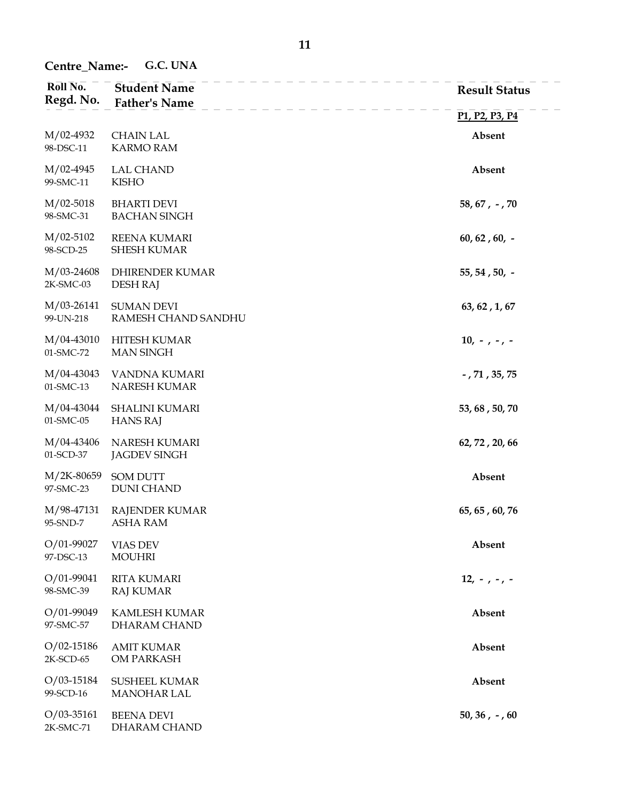Centre\_Name:- G.C. UNA

| Roll No.<br>Regd. No.       | <b>Student Name</b><br><b>Father's Name</b> | <b>Result Status</b>                                              |
|-----------------------------|---------------------------------------------|-------------------------------------------------------------------|
|                             |                                             | P <sub>1</sub> , P <sub>2</sub> , P <sub>3</sub> , P <sub>4</sub> |
| $M/02-4932$<br>98-DSC-11    | <b>CHAIN LAL</b><br><b>KARMO RAM</b>        | Absent                                                            |
| M/02-4945<br>99-SMC-11      | <b>LAL CHAND</b><br><b>KISHO</b>            | Absent                                                            |
| $M/02 - 5018$<br>98-SMC-31  | <b>BHARTI DEVI</b><br><b>BACHAN SINGH</b>   | $58, 67, -70$                                                     |
| $M/02-5102$<br>98-SCD-25    | REENA KUMARI<br><b>SHESH KUMAR</b>          | $60, 62, 60, -$                                                   |
| M/03-24608<br>2K-SMC-03     | DHIRENDER KUMAR<br><b>DESH RAJ</b>          | $55, 54, 50, -$                                                   |
| $M/03-26141$<br>99-UN-218   | <b>SUMAN DEVI</b><br>RAMESH CHAND SANDHU    | 63, 62, 1, 67                                                     |
| M/04-43010<br>01-SMC-72     | <b>HITESH KUMAR</b><br><b>MAN SINGH</b>     | $10, -7 -7 -$                                                     |
| M/04-43043<br>01-SMC-13     | VANDNA KUMARI<br>NARESH KUMAR               | $-$ , 71 , 35, 75                                                 |
| M/04-43044<br>01-SMC-05     | <b>SHALINI KUMARI</b><br><b>HANS RAJ</b>    | 53, 68, 50, 70                                                    |
| M/04-43406<br>01-SCD-37     | NARESH KUMARI<br><b>JAGDEV SINGH</b>        | 62, 72, 20, 66                                                    |
| M/2K-80659<br>97-SMC-23     | <b>SOM DUTT</b><br><b>DUNI CHAND</b>        | Absent                                                            |
| M/98-47131<br>95-SND-7      | <b>RAJENDER KUMAR</b><br><b>ASHA RAM</b>    | 65, 65, 60, 76                                                    |
| $O/01-99027$<br>97-DSC-13   | <b>VIAS DEV</b><br><b>MOUHRI</b>            | Absent                                                            |
| $O/01-99041$<br>98-SMC-39   | <b>RITA KUMARI</b><br><b>RAJ KUMAR</b>      | $12, -7 - 7 - 7$                                                  |
| O/01-99049<br>97-SMC-57     | KAMLESH KUMAR<br>DHARAM CHAND               | Absent                                                            |
| $O/02 - 15186$<br>2K-SCD-65 | <b>AMIT KUMAR</b><br>OM PARKASH             | Absent                                                            |
| $O/03-15184$<br>99-SCD-16   | <b>SUSHEEL KUMAR</b><br>MANOHAR LAL         | Absent                                                            |
| $O/03 - 35161$<br>2K-SMC-71 | <b>BEENA DEVI</b><br>DHARAM CHAND           | $50, 36, -, 60$                                                   |